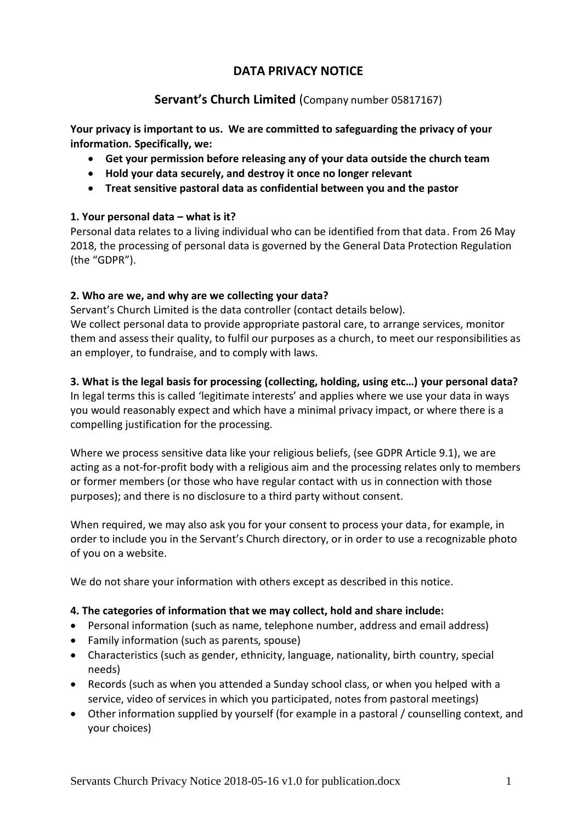# **DATA PRIVACY NOTICE**

# **Servant's Church Limited** (Company number 05817167)

**Your privacy is important to us. We are committed to safeguarding the privacy of your information. Specifically, we:**

- **Get your permission before releasing any of your data outside the church team**
- **Hold your data securely, and destroy it once no longer relevant**
- **Treat sensitive pastoral data as confidential between you and the pastor**

## **1. Your personal data – what is it?**

Personal data relates to a living individual who can be identified from that data. From 26 May 2018, the processing of personal data is governed by the General Data Protection Regulation (the "GDPR").

## **2. Who are we, and why are we collecting your data?**

Servant's Church Limited is the data controller (contact details below). We collect personal data to provide appropriate pastoral care, to arrange services, monitor them and assess their quality, to fulfil our purposes as a church, to meet our responsibilities as an employer, to fundraise, and to comply with laws.

## **3. What is the legal basis for processing (collecting, holding, using etc…) your personal data?**

In legal terms this is called 'legitimate interests' and applies where we use your data in ways you would reasonably expect and which have a minimal privacy impact, or where there is a compelling justification for the processing.

Where we process sensitive data like your religious beliefs, (see GDPR Article 9.1), we are acting as a not-for-profit body with a religious aim and the processing relates only to members or former members (or those who have regular contact with us in connection with those purposes); and there is no disclosure to a third party without consent.

When required, we may also ask you for your consent to process your data, for example, in order to include you in the Servant's Church directory, or in order to use a recognizable photo of you on a website.

We do not share your information with others except as described in this notice.

## **4. The categories of information that we may collect, hold and share include:**

- Personal information (such as name, telephone number, address and email address)
- Family information (such as parents, spouse)
- Characteristics (such as gender, ethnicity, language, nationality, birth country, special needs)
- Records (such as when you attended a Sunday school class, or when you helped with a service, video of services in which you participated, notes from pastoral meetings)
- Other information supplied by yourself (for example in a pastoral / counselling context, and your choices)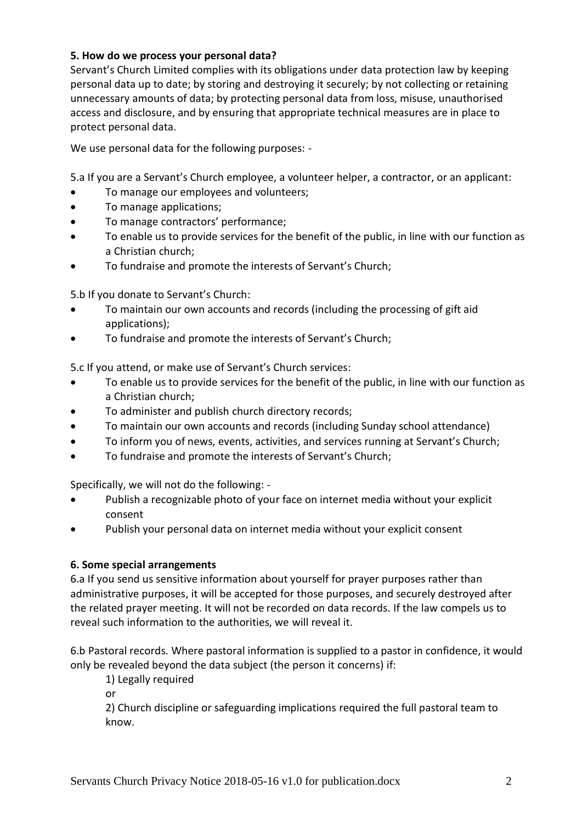## **5. How do we process your personal data?**

Servant's Church Limited complies with its obligations under data protection law by keeping personal data up to date; by storing and destroying it securely; by not collecting or retaining unnecessary amounts of data; by protecting personal data from loss, misuse, unauthorised access and disclosure, and by ensuring that appropriate technical measures are in place to protect personal data.

We use personal data for the following purposes: -

5.a If you are a Servant's Church employee, a volunteer helper, a contractor, or an applicant:

- To manage our employees and volunteers;
- To manage applications;
- To manage contractors' performance;
- To enable us to provide services for the benefit of the public, in line with our function as a Christian church;
- To fundraise and promote the interests of Servant's Church;

5.b If you donate to Servant's Church:

- To maintain our own accounts and records (including the processing of gift aid applications);
- To fundraise and promote the interests of Servant's Church;

5.c If you attend, or make use of Servant's Church services:

- To enable us to provide services for the benefit of the public, in line with our function as a Christian church;
- To administer and publish church directory records;
- To maintain our own accounts and records (including Sunday school attendance)
- To inform you of news, events, activities, and services running at Servant's Church;
- To fundraise and promote the interests of Servant's Church;

Specifically, we will not do the following: -

- Publish a recognizable photo of your face on internet media without your explicit consent
- Publish your personal data on internet media without your explicit consent

## **6. Some special arrangements**

6.a If you send us sensitive information about yourself for prayer purposes rather than administrative purposes, it will be accepted for those purposes, and securely destroyed after the related prayer meeting. It will not be recorded on data records. If the law compels us to reveal such information to the authorities, we will reveal it.

6.b Pastoral records. Where pastoral information is supplied to a pastor in confidence, it would only be revealed beyond the data subject (the person it concerns) if:

1) Legally required

or

2) Church discipline or safeguarding implications required the full pastoral team to know.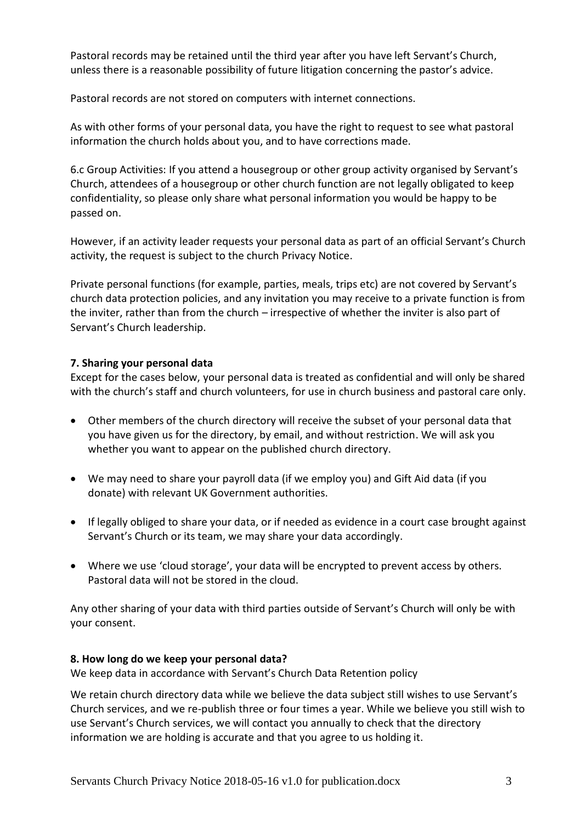Pastoral records may be retained until the third year after you have left Servant's Church, unless there is a reasonable possibility of future litigation concerning the pastor's advice.

Pastoral records are not stored on computers with internet connections.

As with other forms of your personal data, you have the right to request to see what pastoral information the church holds about you, and to have corrections made.

6.c Group Activities: If you attend a housegroup or other group activity organised by Servant's Church, attendees of a housegroup or other church function are not legally obligated to keep confidentiality, so please only share what personal information you would be happy to be passed on.

However, if an activity leader requests your personal data as part of an official Servant's Church activity, the request is subject to the church Privacy Notice.

Private personal functions (for example, parties, meals, trips etc) are not covered by Servant's church data protection policies, and any invitation you may receive to a private function is from the inviter, rather than from the church – irrespective of whether the inviter is also part of Servant's Church leadership.

#### **7. Sharing your personal data**

Except for the cases below, your personal data is treated as confidential and will only be shared with the church's staff and church volunteers, for use in church business and pastoral care only.

- Other members of the church directory will receive the subset of your personal data that you have given us for the directory, by email, and without restriction. We will ask you whether you want to appear on the published church directory.
- We may need to share your payroll data (if we employ you) and Gift Aid data (if you donate) with relevant UK Government authorities.
- If legally obliged to share your data, or if needed as evidence in a court case brought against Servant's Church or its team, we may share your data accordingly.
- Where we use 'cloud storage', your data will be encrypted to prevent access by others. Pastoral data will not be stored in the cloud.

Any other sharing of your data with third parties outside of Servant's Church will only be with your consent.

#### **8. How long do we keep your personal data?**

We keep data in accordance with Servant's Church Data Retention policy

We retain church directory data while we believe the data subject still wishes to use Servant's Church services, and we re-publish three or four times a year. While we believe you still wish to use Servant's Church services, we will contact you annually to check that the directory information we are holding is accurate and that you agree to us holding it.